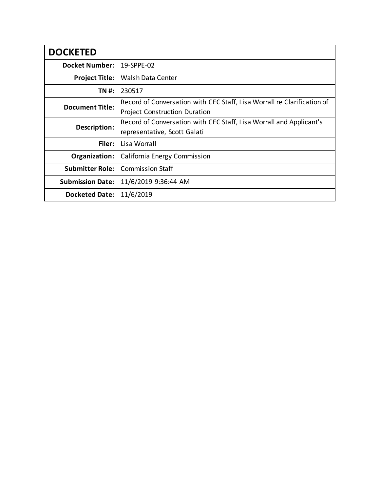| <b>DOCKETED</b>         |                                                                                                                 |  |  |  |
|-------------------------|-----------------------------------------------------------------------------------------------------------------|--|--|--|
| <b>Docket Number:</b>   | 19-SPPE-02                                                                                                      |  |  |  |
| <b>Project Title:</b>   | <b>Walsh Data Center</b>                                                                                        |  |  |  |
| TN #:                   | 230517                                                                                                          |  |  |  |
| <b>Document Title:</b>  | Record of Conversation with CEC Staff, Lisa Worrall re Clarification of<br><b>Project Construction Duration</b> |  |  |  |
| Description:            | Record of Conversation with CEC Staff, Lisa Worrall and Applicant's<br>representative, Scott Galati             |  |  |  |
| Filer:                  | Lisa Worrall                                                                                                    |  |  |  |
| Organization:           | California Energy Commission                                                                                    |  |  |  |
| <b>Submitter Role:</b>  | <b>Commission Staff</b>                                                                                         |  |  |  |
| <b>Submission Date:</b> | 11/6/2019 9:36:44 AM                                                                                            |  |  |  |
| <b>Docketed Date:</b>   | 11/6/2019                                                                                                       |  |  |  |